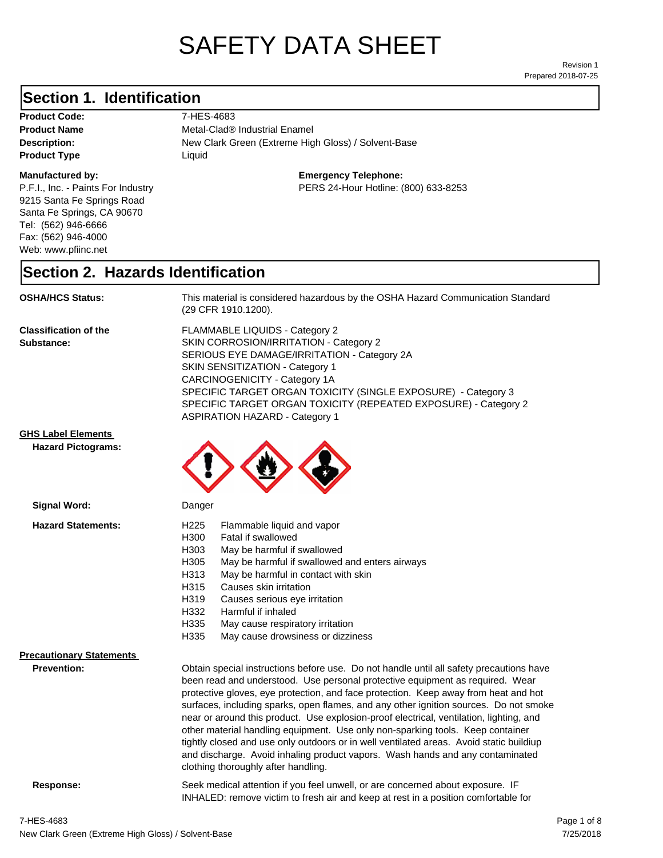# SAFETY DATA SHEET

Prepared 2018-07-25 Revision 1

## **Section 1. Identification**

Product Code: 7-HES-4683 **Product Type Liquid Liquid** 

### **Manufactured by:**

P.F.I., Inc. - Paints For Industry 9215 Santa Fe Springs Road Santa Fe Springs, CA 90670 Tel: (562) 946-6666 Fax: (562) 946-4000 Web: www.pfiinc.net

**Description:** New Clark Green (Extreme High Gloss) / Solvent-Base **Product Name** Metal-Clad<sup>®</sup> Industrial Enamel

**Emergency Telephone:**

PERS 24-Hour Hotline: (800) 633-8253

## **Section 2. Hazards Identification**

**OSHA/HCS Status:** This material is considered hazardous by the OSHA Hazard Communication Standard (29 CFR 1910.1200).

**Classification of the Substance:**

FLAMMABLE LIQUIDS - Category 2 SKIN CORROSION/IRRITATION - Category 2 SERIOUS EYE DAMAGE/IRRITATION - Category 2A SKIN SENSITIZATION - Category 1 CARCINOGENICITY - Category 1A SPECIFIC TARGET ORGAN TOXICITY (SINGLE EXPOSURE) - Category 3 SPECIFIC TARGET ORGAN TOXICITY (REPEATED EXPOSURE) - Category 2 ASPIRATION HAZARD - Category 1

### **GHS Label Elements**

**Signal Word:**

**Hazard Pictograms:**



| <b>Hazard Statements:</b>       | H <sub>225</sub><br>Flammable liquid and vapor<br>Fatal if swallowed<br>H300<br>H303<br>May be harmful if swallowed<br>H305<br>May be harmful if swallowed and enters airways<br>May be harmful in contact with skin<br>H313<br>H315<br>Causes skin irritation<br>H319<br>Causes serious eye irritation<br>H332<br>Harmful if inhaled                                                                                                                                                                                                                                                                                                                                                                                                                    |  |
|---------------------------------|----------------------------------------------------------------------------------------------------------------------------------------------------------------------------------------------------------------------------------------------------------------------------------------------------------------------------------------------------------------------------------------------------------------------------------------------------------------------------------------------------------------------------------------------------------------------------------------------------------------------------------------------------------------------------------------------------------------------------------------------------------|--|
|                                 | H335<br>May cause respiratory irritation                                                                                                                                                                                                                                                                                                                                                                                                                                                                                                                                                                                                                                                                                                                 |  |
|                                 | May cause drowsiness or dizziness<br>H335                                                                                                                                                                                                                                                                                                                                                                                                                                                                                                                                                                                                                                                                                                                |  |
| <b>Precautionary Statements</b> |                                                                                                                                                                                                                                                                                                                                                                                                                                                                                                                                                                                                                                                                                                                                                          |  |
| <b>Prevention:</b>              | Obtain special instructions before use. Do not handle until all safety precautions have<br>been read and understood. Use personal protective equipment as required. Wear<br>protective gloves, eye protection, and face protection. Keep away from heat and hot<br>surfaces, including sparks, open flames, and any other ignition sources. Do not smoke<br>near or around this product. Use explosion-proof electrical, ventilation, lighting, and<br>other material handling equipment. Use only non-sparking tools. Keep container<br>tightly closed and use only outdoors or in well ventilated areas. Avoid static buildiup<br>and discharge. Avoid inhaling product vapors. Wash hands and any contaminated<br>clothing thoroughly after handling. |  |
| Response:                       | Seek medical attention if you feel unwell, or are concerned about exposure. IF<br>INHALED: remove victim to fresh air and keep at rest in a position comfortable for                                                                                                                                                                                                                                                                                                                                                                                                                                                                                                                                                                                     |  |
|                                 |                                                                                                                                                                                                                                                                                                                                                                                                                                                                                                                                                                                                                                                                                                                                                          |  |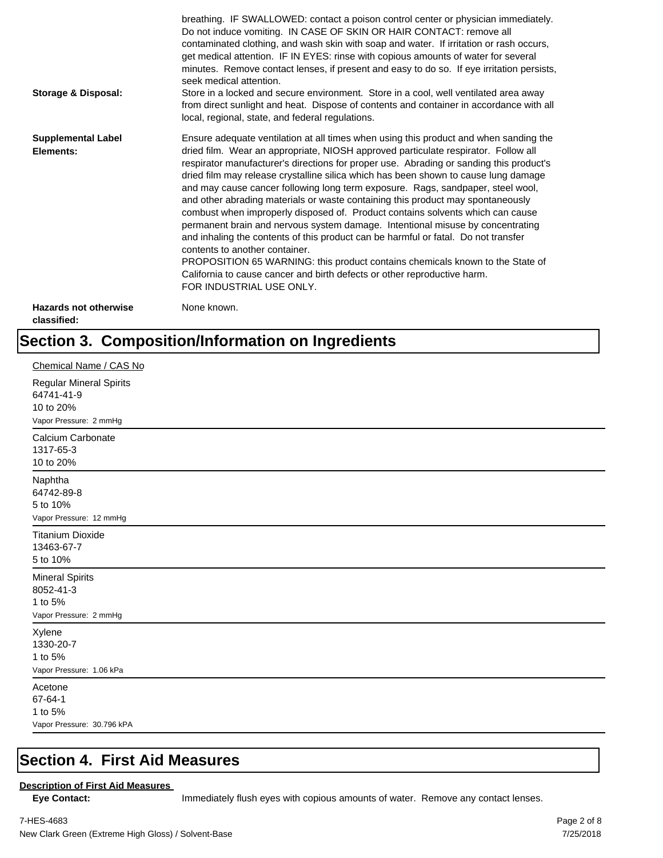| <b>Storage &amp; Disposal:</b>              | breathing. IF SWALLOWED: contact a poison control center or physician immediately.<br>Do not induce vomiting. IN CASE OF SKIN OR HAIR CONTACT: remove all<br>contaminated clothing, and wash skin with soap and water. If irritation or rash occurs,<br>get medical attention. IF IN EYES: rinse with copious amounts of water for several<br>minutes. Remove contact lenses, if present and easy to do so. If eye irritation persists,<br>seek medical attention.<br>Store in a locked and secure environment. Store in a cool, well ventilated area away<br>from direct sunlight and heat. Dispose of contents and container in accordance with all<br>local, regional, state, and federal regulations.                                                                                                                                                                                                                                                                                                                |
|---------------------------------------------|--------------------------------------------------------------------------------------------------------------------------------------------------------------------------------------------------------------------------------------------------------------------------------------------------------------------------------------------------------------------------------------------------------------------------------------------------------------------------------------------------------------------------------------------------------------------------------------------------------------------------------------------------------------------------------------------------------------------------------------------------------------------------------------------------------------------------------------------------------------------------------------------------------------------------------------------------------------------------------------------------------------------------|
| <b>Supplemental Label</b><br>Elements:      | Ensure adequate ventilation at all times when using this product and when sanding the<br>dried film. Wear an appropriate, NIOSH approved particulate respirator. Follow all<br>respirator manufacturer's directions for proper use. Abrading or sanding this product's<br>dried film may release crystalline silica which has been shown to cause lung damage<br>and may cause cancer following long term exposure. Rags, sandpaper, steel wool,<br>and other abrading materials or waste containing this product may spontaneously<br>combust when improperly disposed of. Product contains solvents which can cause<br>permanent brain and nervous system damage. Intentional misuse by concentrating<br>and inhaling the contents of this product can be harmful or fatal. Do not transfer<br>contents to another container.<br>PROPOSITION 65 WARNING: this product contains chemicals known to the State of<br>California to cause cancer and birth defects or other reproductive harm.<br>FOR INDUSTRIAL USE ONLY. |
| <b>Hazards not otherwise</b><br>classified: | None known.                                                                                                                                                                                                                                                                                                                                                                                                                                                                                                                                                                                                                                                                                                                                                                                                                                                                                                                                                                                                              |

## **Section 3. Composition/Information on Ingredients**

| Chemical Name / CAS No                                                       |
|------------------------------------------------------------------------------|
| Regular Mineral Spirits<br>64741-41-9<br>10 to 20%<br>Vapor Pressure: 2 mmHg |
| Calcium Carbonate<br>1317-65-3<br>10 to 20%                                  |
| Naphtha<br>64742-89-8<br>5 to 10%<br>Vapor Pressure: 12 mmHg                 |
| <b>Titanium Dioxide</b><br>13463-67-7<br>5 to 10%                            |
| <b>Mineral Spirits</b><br>8052-41-3<br>1 to 5%<br>Vapor Pressure: 2 mmHg     |
| Xylene<br>1330-20-7<br>1 to 5%<br>Vapor Pressure: 1.06 kPa                   |
| Acetone<br>67-64-1<br>1 to 5%<br>Vapor Pressure: 30.796 kPA                  |

## **Section 4. First Aid Measures**

### **Description of First Aid Measures**

Eye Contact: **IMMED** Immediately flush eyes with copious amounts of water. Remove any contact lenses.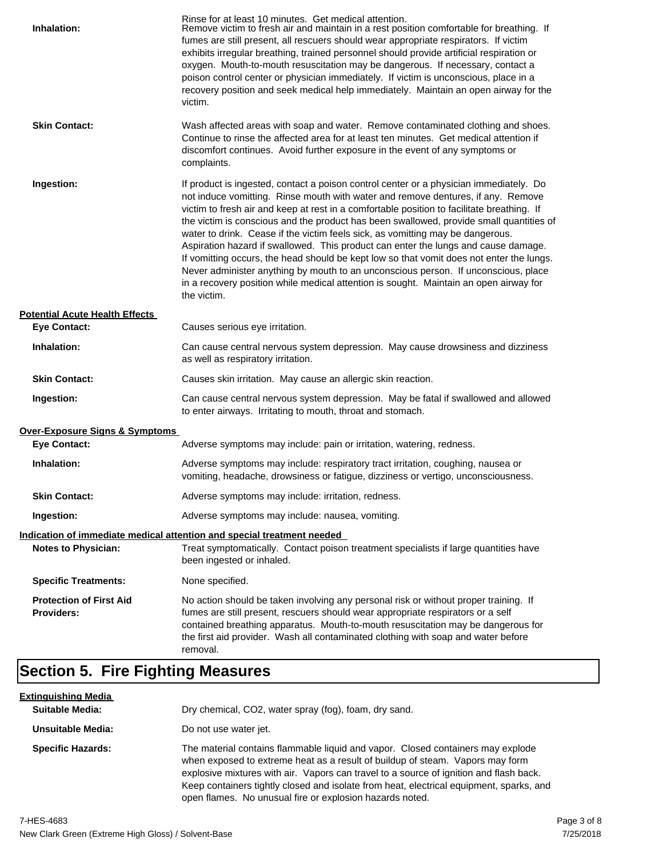| Inhalation:                                         | Rinse for at least 10 minutes. Get medical attention.<br>Remove victim to fresh air and maintain in a rest position comfortable for breathing. If<br>fumes are still present, all rescuers should wear appropriate respirators. If victim<br>exhibits irregular breathing, trained personnel should provide artificial respiration or<br>oxygen. Mouth-to-mouth resuscitation may be dangerous. If necessary, contact a<br>poison control center or physician immediately. If victim is unconscious, place in a<br>recovery position and seek medical help immediately. Maintain an open airway for the<br>victim.                                                                                                                                                                                                                    |
|-----------------------------------------------------|---------------------------------------------------------------------------------------------------------------------------------------------------------------------------------------------------------------------------------------------------------------------------------------------------------------------------------------------------------------------------------------------------------------------------------------------------------------------------------------------------------------------------------------------------------------------------------------------------------------------------------------------------------------------------------------------------------------------------------------------------------------------------------------------------------------------------------------|
| <b>Skin Contact:</b>                                | Wash affected areas with soap and water. Remove contaminated clothing and shoes.<br>Continue to rinse the affected area for at least ten minutes. Get medical attention if<br>discomfort continues. Avoid further exposure in the event of any symptoms or<br>complaints.                                                                                                                                                                                                                                                                                                                                                                                                                                                                                                                                                             |
| Ingestion:                                          | If product is ingested, contact a poison control center or a physician immediately. Do<br>not induce vomitting. Rinse mouth with water and remove dentures, if any. Remove<br>victim to fresh air and keep at rest in a comfortable position to facilitate breathing. If<br>the victim is conscious and the product has been swallowed, provide small quantities of<br>water to drink. Cease if the victim feels sick, as vomitting may be dangerous.<br>Aspiration hazard if swallowed. This product can enter the lungs and cause damage.<br>If vomitting occurs, the head should be kept low so that vomit does not enter the lungs.<br>Never administer anything by mouth to an unconscious person. If unconscious, place<br>in a recovery position while medical attention is sought. Maintain an open airway for<br>the victim. |
| <b>Potential Acute Health Effects</b>               |                                                                                                                                                                                                                                                                                                                                                                                                                                                                                                                                                                                                                                                                                                                                                                                                                                       |
| <b>Eye Contact:</b>                                 | Causes serious eye irritation.                                                                                                                                                                                                                                                                                                                                                                                                                                                                                                                                                                                                                                                                                                                                                                                                        |
| Inhalation:                                         | Can cause central nervous system depression. May cause drowsiness and dizziness<br>as well as respiratory irritation.                                                                                                                                                                                                                                                                                                                                                                                                                                                                                                                                                                                                                                                                                                                 |
| <b>Skin Contact:</b>                                | Causes skin irritation. May cause an allergic skin reaction.                                                                                                                                                                                                                                                                                                                                                                                                                                                                                                                                                                                                                                                                                                                                                                          |
| Ingestion:                                          | Can cause central nervous system depression. May be fatal if swallowed and allowed<br>to enter airways. Irritating to mouth, throat and stomach.                                                                                                                                                                                                                                                                                                                                                                                                                                                                                                                                                                                                                                                                                      |
| Over-Exposure Signs & Symptoms                      |                                                                                                                                                                                                                                                                                                                                                                                                                                                                                                                                                                                                                                                                                                                                                                                                                                       |
| <b>Eye Contact:</b>                                 | Adverse symptoms may include: pain or irritation, watering, redness.                                                                                                                                                                                                                                                                                                                                                                                                                                                                                                                                                                                                                                                                                                                                                                  |
| Inhalation:                                         | Adverse symptoms may include: respiratory tract irritation, coughing, nausea or<br>vomiting, headache, drowsiness or fatigue, dizziness or vertigo, unconsciousness.                                                                                                                                                                                                                                                                                                                                                                                                                                                                                                                                                                                                                                                                  |
| <b>Skin Contact:</b>                                | Adverse symptoms may include: irritation, redness.                                                                                                                                                                                                                                                                                                                                                                                                                                                                                                                                                                                                                                                                                                                                                                                    |
| Ingestion:                                          | Adverse symptoms may include: nausea, vomiting.                                                                                                                                                                                                                                                                                                                                                                                                                                                                                                                                                                                                                                                                                                                                                                                       |
|                                                     | Indication of immediate medical attention and special treatment needed                                                                                                                                                                                                                                                                                                                                                                                                                                                                                                                                                                                                                                                                                                                                                                |
| <b>Notes to Physician:</b>                          | Treat symptomatically. Contact poison treatment specialists if large quantities have<br>been ingested or inhaled.                                                                                                                                                                                                                                                                                                                                                                                                                                                                                                                                                                                                                                                                                                                     |
| <b>Specific Treatments:</b>                         | None specified.                                                                                                                                                                                                                                                                                                                                                                                                                                                                                                                                                                                                                                                                                                                                                                                                                       |
| <b>Protection of First Aid</b><br><b>Providers:</b> | No action should be taken involving any personal risk or without proper training. If<br>fumes are still present, rescuers should wear appropriate respirators or a self<br>contained breathing apparatus. Mouth-to-mouth resuscitation may be dangerous for<br>the first aid provider. Wash all contaminated clothing with soap and water before<br>removal.                                                                                                                                                                                                                                                                                                                                                                                                                                                                          |

## **Section 5. Fire Fighting Measures**

| <u>Extinguishing Media</u> |                                                                                                                                                                                                                                                                                                                                                                                                                   |
|----------------------------|-------------------------------------------------------------------------------------------------------------------------------------------------------------------------------------------------------------------------------------------------------------------------------------------------------------------------------------------------------------------------------------------------------------------|
| <b>Suitable Media:</b>     | Dry chemical, CO2, water spray (fog), foam, dry sand.                                                                                                                                                                                                                                                                                                                                                             |
| Unsuitable Media:          | Do not use water jet.                                                                                                                                                                                                                                                                                                                                                                                             |
| <b>Specific Hazards:</b>   | The material contains flammable liquid and vapor. Closed containers may explode<br>when exposed to extreme heat as a result of buildup of steam. Vapors may form<br>explosive mixtures with air. Vapors can travel to a source of ignition and flash back.<br>Keep containers tightly closed and isolate from heat, electrical equipment, sparks, and<br>open flames. No unusual fire or explosion hazards noted. |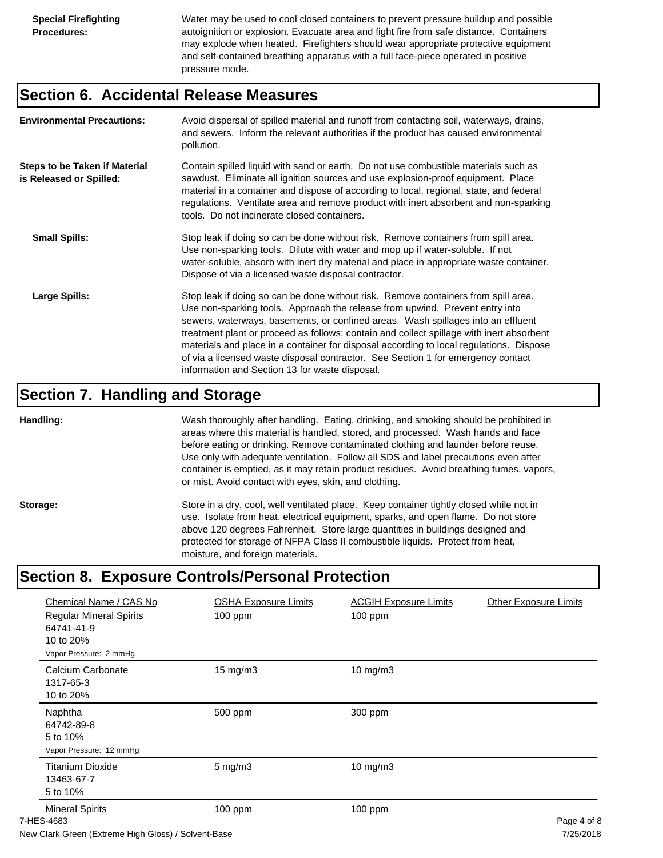Water may be used to cool closed containers to prevent pressure buildup and possible autoignition or explosion. Evacuate area and fight fire from safe distance. Containers may explode when heated. Firefighters should wear appropriate protective equipment and self-contained breathing apparatus with a full face-piece operated in positive pressure mode.

## **Section 6. Accidental Release Measures**

| <b>Environmental Precautions:</b>                               | Avoid dispersal of spilled material and runoff from contacting soil, waterways, drains,<br>and sewers. Inform the relevant authorities if the product has caused environmental<br>pollution.                                                                                                                                                                                                                                                                                                                                                                                        |
|-----------------------------------------------------------------|-------------------------------------------------------------------------------------------------------------------------------------------------------------------------------------------------------------------------------------------------------------------------------------------------------------------------------------------------------------------------------------------------------------------------------------------------------------------------------------------------------------------------------------------------------------------------------------|
| <b>Steps to be Taken if Material</b><br>is Released or Spilled: | Contain spilled liquid with sand or earth. Do not use combustible materials such as<br>sawdust. Eliminate all ignition sources and use explosion-proof equipment. Place<br>material in a container and dispose of according to local, regional, state, and federal<br>regulations. Ventilate area and remove product with inert absorbent and non-sparking<br>tools. Do not incinerate closed containers.                                                                                                                                                                           |
| <b>Small Spills:</b>                                            | Stop leak if doing so can be done without risk. Remove containers from spill area.<br>Use non-sparking tools. Dilute with water and mop up if water-soluble. If not<br>water-soluble, absorb with inert dry material and place in appropriate waste container.<br>Dispose of via a licensed waste disposal contractor.                                                                                                                                                                                                                                                              |
| Large Spills:                                                   | Stop leak if doing so can be done without risk. Remove containers from spill area.<br>Use non-sparking tools. Approach the release from upwind. Prevent entry into<br>sewers, waterways, basements, or confined areas. Wash spillages into an effluent<br>treatment plant or proceed as follows: contain and collect spillage with inert absorbent<br>materials and place in a container for disposal according to local regulations. Dispose<br>of via a licensed waste disposal contractor. See Section 1 for emergency contact<br>information and Section 13 for waste disposal. |

## **Section 7. Handling and Storage**

**Handling:** Wash thoroughly after handling. Eating, drinking, and smoking should be prohibited in areas where this material is handled, stored, and processed. Wash hands and face before eating or drinking. Remove contaminated clothing and launder before reuse. Use only with adequate ventilation. Follow all SDS and label precautions even after container is emptied, as it may retain product residues. Avoid breathing fumes, vapors, or mist. Avoid contact with eyes, skin, and clothing.

Storage: Store in a dry, cool, well ventilated place. Keep container tightly closed while not in use. Isolate from heat, electrical equipment, sparks, and open flame. Do not store above 120 degrees Fahrenheit. Store large quantities in buildings designed and protected for storage of NFPA Class II combustible liquids. Protect from heat, moisture, and foreign materials.

## **Section 8. Exposure Controls/Personal Protection**

| Chemical Name / CAS No<br><b>Regular Mineral Spirits</b><br>64741-41-9<br>10 to 20%<br>Vapor Pressure: 2 mmHg | <b>OSHA Exposure Limits</b><br>100 ppm | <b>ACGIH Exposure Limits</b><br>$100$ ppm | <b>Other Exposure Limits</b> |
|---------------------------------------------------------------------------------------------------------------|----------------------------------------|-------------------------------------------|------------------------------|
| Calcium Carbonate<br>1317-65-3<br>10 to 20%                                                                   | $15 \text{ mg/m}$                      | $10$ mg/m $3$                             |                              |
| Naphtha<br>64742-89-8<br>5 to 10%<br>Vapor Pressure: 12 mmHg                                                  | 500 ppm                                | 300 ppm                                   |                              |
| <b>Titanium Dioxide</b><br>13463-67-7<br>5 to 10%                                                             | $5$ mg/m $3$                           | $10$ mg/m $3$                             |                              |
| <b>Mineral Spirits</b><br>7-HES-4683                                                                          | 100 ppm                                | 100 ppm                                   | Page 4 of 8                  |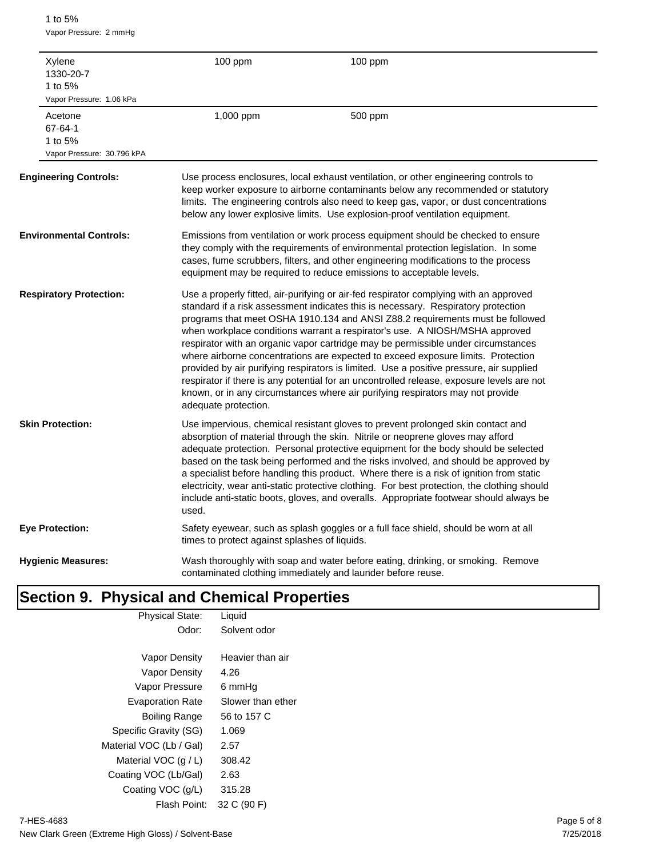1 to 5% Vapor Pressure: 2 mmHg

| Xylene<br>1330-20-7<br>1 to 5%<br>Vapor Pressure: 1.06 kPa  | 100 ppm                                       | 100 ppm                                                                                                                                                                                                                                                                                                                                                                                                                                                                                                                                                                                                                                                                                                                                                                                       |
|-------------------------------------------------------------|-----------------------------------------------|-----------------------------------------------------------------------------------------------------------------------------------------------------------------------------------------------------------------------------------------------------------------------------------------------------------------------------------------------------------------------------------------------------------------------------------------------------------------------------------------------------------------------------------------------------------------------------------------------------------------------------------------------------------------------------------------------------------------------------------------------------------------------------------------------|
| Acetone<br>67-64-1<br>1 to 5%<br>Vapor Pressure: 30.796 kPA | 1,000 ppm                                     | 500 ppm                                                                                                                                                                                                                                                                                                                                                                                                                                                                                                                                                                                                                                                                                                                                                                                       |
| <b>Engineering Controls:</b>                                |                                               | Use process enclosures, local exhaust ventilation, or other engineering controls to<br>keep worker exposure to airborne contaminants below any recommended or statutory<br>limits. The engineering controls also need to keep gas, vapor, or dust concentrations<br>below any lower explosive limits. Use explosion-proof ventilation equipment.                                                                                                                                                                                                                                                                                                                                                                                                                                              |
| <b>Environmental Controls:</b>                              |                                               | Emissions from ventilation or work process equipment should be checked to ensure<br>they comply with the requirements of environmental protection legislation. In some<br>cases, fume scrubbers, filters, and other engineering modifications to the process<br>equipment may be required to reduce emissions to acceptable levels.                                                                                                                                                                                                                                                                                                                                                                                                                                                           |
| <b>Respiratory Protection:</b>                              | adequate protection.                          | Use a properly fitted, air-purifying or air-fed respirator complying with an approved<br>standard if a risk assessment indicates this is necessary. Respiratory protection<br>programs that meet OSHA 1910.134 and ANSI Z88.2 requirements must be followed<br>when workplace conditions warrant a respirator's use. A NIOSH/MSHA approved<br>respirator with an organic vapor cartridge may be permissible under circumstances<br>where airborne concentrations are expected to exceed exposure limits. Protection<br>provided by air purifying respirators is limited. Use a positive pressure, air supplied<br>respirator if there is any potential for an uncontrolled release, exposure levels are not<br>known, or in any circumstances where air purifying respirators may not provide |
| <b>Skin Protection:</b>                                     | used.                                         | Use impervious, chemical resistant gloves to prevent prolonged skin contact and<br>absorption of material through the skin. Nitrile or neoprene gloves may afford<br>adequate protection. Personal protective equipment for the body should be selected<br>based on the task being performed and the risks involved, and should be approved by<br>a specialist before handling this product. Where there is a risk of ignition from static<br>electricity, wear anti-static protective clothing. For best protection, the clothing should<br>include anti-static boots, gloves, and overalls. Appropriate footwear should always be                                                                                                                                                           |
| Eye Protection:                                             | times to protect against splashes of liquids. | Safety eyewear, such as splash goggles or a full face shield, should be worn at all                                                                                                                                                                                                                                                                                                                                                                                                                                                                                                                                                                                                                                                                                                           |
| <b>Hygienic Measures:</b>                                   |                                               | Wash thoroughly with soap and water before eating, drinking, or smoking. Remove<br>contaminated clothing immediately and launder before reuse.                                                                                                                                                                                                                                                                                                                                                                                                                                                                                                                                                                                                                                                |

# **Section 9. Physical and Chemical Properties**

| <b>Physical State:</b>  | Liquid            |
|-------------------------|-------------------|
| Odor:                   | Solvent odor      |
|                         |                   |
| Vapor Density           | Heavier than air  |
| Vapor Density           | 4.26              |
| Vapor Pressure          | 6 mmHq            |
| <b>Evaporation Rate</b> | Slower than ether |
| Boiling Range           | 56 to 157 C       |
| Specific Gravity (SG)   | 1.069             |
| Material VOC (Lb / Gal) | 2.57              |
| Material VOC $(q/L)$    | 308.42            |
| Coating VOC (Lb/Gal)    | 2.63              |
| Coating VOC (g/L)       | 315.28            |
| Flash Point:            | 32 C (90 F)       |
|                         |                   |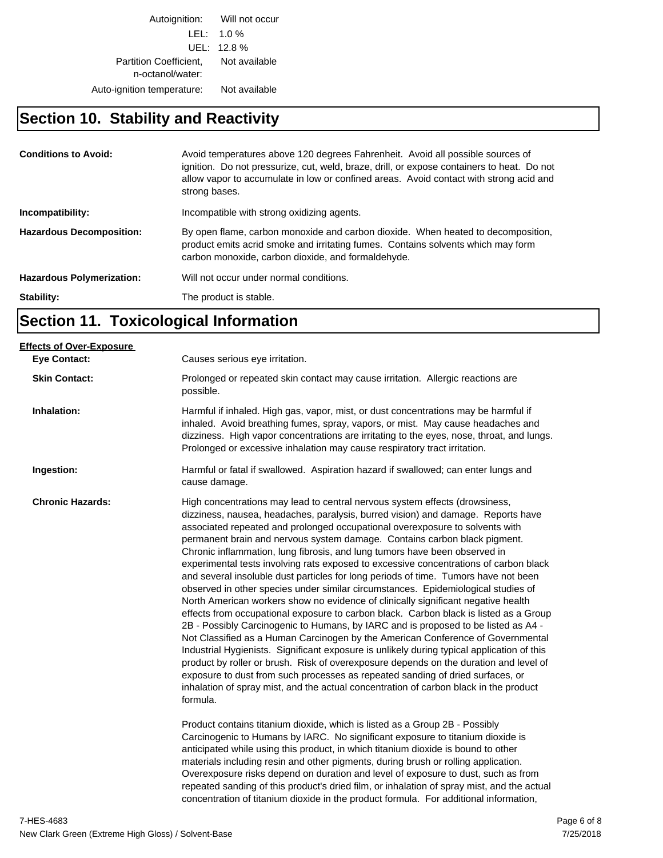Autoignition: Will not occur LEL: 1.0 % UEL: 12.8 % Partition Coefficient, Not available n-octanol/water: Auto-ignition temperature: Not available

## **Section 10. Stability and Reactivity**

| <b>Conditions to Avoid:</b>      | Avoid temperatures above 120 degrees Fahrenheit. Avoid all possible sources of<br>ignition. Do not pressurize, cut, weld, braze, drill, or expose containers to heat. Do not<br>allow vapor to accumulate in low or confined areas. Avoid contact with strong acid and<br>strong bases. |
|----------------------------------|-----------------------------------------------------------------------------------------------------------------------------------------------------------------------------------------------------------------------------------------------------------------------------------------|
| Incompatibility:                 | Incompatible with strong oxidizing agents.                                                                                                                                                                                                                                              |
| <b>Hazardous Decomposition:</b>  | By open flame, carbon monoxide and carbon dioxide. When heated to decomposition,<br>product emits acrid smoke and irritating fumes. Contains solvents which may form<br>carbon monoxide, carbon dioxide, and formaldehyde.                                                              |
| <b>Hazardous Polymerization:</b> | Will not occur under normal conditions.                                                                                                                                                                                                                                                 |
| Stability:                       | The product is stable.                                                                                                                                                                                                                                                                  |

## **Section 11. Toxicological Information**

| <b>Effects of Over-Exposure</b> |                                                                                                                                                                                                                                                                                                                                                                                                                                                                                                                                                                                                                                                                                                                                                                                                                                                                                                                                                                                                                                                                                                                                                                                                                                                                                                                                                                                                                                                                                                                                                                                                                                                                            |
|---------------------------------|----------------------------------------------------------------------------------------------------------------------------------------------------------------------------------------------------------------------------------------------------------------------------------------------------------------------------------------------------------------------------------------------------------------------------------------------------------------------------------------------------------------------------------------------------------------------------------------------------------------------------------------------------------------------------------------------------------------------------------------------------------------------------------------------------------------------------------------------------------------------------------------------------------------------------------------------------------------------------------------------------------------------------------------------------------------------------------------------------------------------------------------------------------------------------------------------------------------------------------------------------------------------------------------------------------------------------------------------------------------------------------------------------------------------------------------------------------------------------------------------------------------------------------------------------------------------------------------------------------------------------------------------------------------------------|
| <b>Eye Contact:</b>             | Causes serious eye irritation.                                                                                                                                                                                                                                                                                                                                                                                                                                                                                                                                                                                                                                                                                                                                                                                                                                                                                                                                                                                                                                                                                                                                                                                                                                                                                                                                                                                                                                                                                                                                                                                                                                             |
| <b>Skin Contact:</b>            | Prolonged or repeated skin contact may cause irritation. Allergic reactions are<br>possible.                                                                                                                                                                                                                                                                                                                                                                                                                                                                                                                                                                                                                                                                                                                                                                                                                                                                                                                                                                                                                                                                                                                                                                                                                                                                                                                                                                                                                                                                                                                                                                               |
| Inhalation:                     | Harmful if inhaled. High gas, vapor, mist, or dust concentrations may be harmful if<br>inhaled. Avoid breathing fumes, spray, vapors, or mist. May cause headaches and<br>dizziness. High vapor concentrations are irritating to the eyes, nose, throat, and lungs.<br>Prolonged or excessive inhalation may cause respiratory tract irritation.                                                                                                                                                                                                                                                                                                                                                                                                                                                                                                                                                                                                                                                                                                                                                                                                                                                                                                                                                                                                                                                                                                                                                                                                                                                                                                                           |
| Ingestion:                      | Harmful or fatal if swallowed. Aspiration hazard if swallowed; can enter lungs and<br>cause damage.                                                                                                                                                                                                                                                                                                                                                                                                                                                                                                                                                                                                                                                                                                                                                                                                                                                                                                                                                                                                                                                                                                                                                                                                                                                                                                                                                                                                                                                                                                                                                                        |
| <b>Chronic Hazards:</b>         | High concentrations may lead to central nervous system effects (drowsiness,<br>dizziness, nausea, headaches, paralysis, burred vision) and damage. Reports have<br>associated repeated and prolonged occupational overexposure to solvents with<br>permanent brain and nervous system damage. Contains carbon black pigment.<br>Chronic inflammation, lung fibrosis, and lung tumors have been observed in<br>experimental tests involving rats exposed to excessive concentrations of carbon black<br>and several insoluble dust particles for long periods of time. Tumors have not been<br>observed in other species under similar circumstances. Epidemiological studies of<br>North American workers show no evidence of clinically significant negative health<br>effects from occupational exposure to carbon black. Carbon black is listed as a Group<br>2B - Possibly Carcinogenic to Humans, by IARC and is proposed to be listed as A4 -<br>Not Classified as a Human Carcinogen by the American Conference of Governmental<br>Industrial Hygienists. Significant exposure is unlikely during typical application of this<br>product by roller or brush. Risk of overexposure depends on the duration and level of<br>exposure to dust from such processes as repeated sanding of dried surfaces, or<br>inhalation of spray mist, and the actual concentration of carbon black in the product<br>formula.<br>Product contains titanium dioxide, which is listed as a Group 2B - Possibly<br>Carcinogenic to Humans by IARC. No significant exposure to titanium dioxide is<br>anticipated while using this product, in which titanium dioxide is bound to other |
|                                 | materials including resin and other pigments, during brush or rolling application.<br>Overexposure risks depend on duration and level of exposure to dust, such as from<br>repeated sanding of this product's dried film, or inhalation of spray mist, and the actual<br>concentration of titanium dioxide in the product formula. For additional information,                                                                                                                                                                                                                                                                                                                                                                                                                                                                                                                                                                                                                                                                                                                                                                                                                                                                                                                                                                                                                                                                                                                                                                                                                                                                                                             |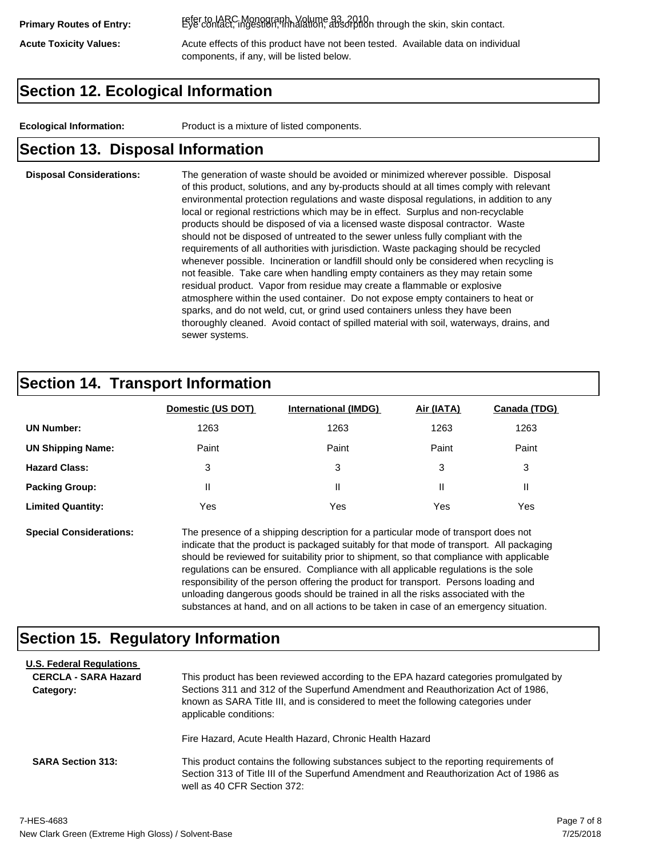refer to IARC Monograph, Volume 93, 2010. **Primary Routes of Entry:** Eye contact, ingestion, inhalation, absorption through the skin, skin contact.

Acute Toxicity Values: **Acute effects of this product have not been tested.** Available data on individual components, if any, will be listed below.

## **Section 12. Ecological Information**

**Ecological Information:** Product is a mixture of listed components.

## **Section 13. Disposal Information**

### **Disposal Considerations:** The generation of waste should be avoided or minimized wherever possible. Disposal of this product, solutions, and any by-products should at all times comply with relevant environmental protection regulations and waste disposal regulations, in addition to any local or regional restrictions which may be in effect. Surplus and non-recyclable products should be disposed of via a licensed waste disposal contractor. Waste should not be disposed of untreated to the sewer unless fully compliant with the requirements of all authorities with jurisdiction. Waste packaging should be recycled whenever possible. Incineration or landfill should only be considered when recycling is not feasible. Take care when handling empty containers as they may retain some residual product. Vapor from residue may create a flammable or explosive atmosphere within the used container. Do not expose empty containers to heat or sparks, and do not weld, cut, or grind used containers unless they have been thoroughly cleaned. Avoid contact of spilled material with soil, waterways, drains, and sewer systems.

## **Section 14. Transport Information**

|                          | Domestic (US DOT) | <b>International (IMDG)</b> | Air (IATA) | Canada (TDG) |
|--------------------------|-------------------|-----------------------------|------------|--------------|
| <b>UN Number:</b>        | 1263              | 1263                        | 1263       | 1263         |
| <b>UN Shipping Name:</b> | Paint             | Paint                       | Paint      | Paint        |
| <b>Hazard Class:</b>     | 3                 | 3                           | 3          | 3            |
| <b>Packing Group:</b>    | Ш                 | Ш                           |            |              |
| <b>Limited Quantity:</b> | Yes               | Yes                         | Yes        | Yes          |

**Special Considerations:** The presence of a shipping description for a particular mode of transport does not indicate that the product is packaged suitably for that mode of transport. All packaging should be reviewed for suitability prior to shipment, so that compliance with applicable regulations can be ensured. Compliance with all applicable regulations is the sole responsibility of the person offering the product for transport. Persons loading and unloading dangerous goods should be trained in all the risks associated with the substances at hand, and on all actions to be taken in case of an emergency situation.

## **Section 15. Regulatory Information**

| <b>U.S. Federal Regulations</b><br><b>CERCLA - SARA Hazard</b><br>Category: | This product has been reviewed according to the EPA hazard categories promulgated by<br>Sections 311 and 312 of the Superfund Amendment and Reauthorization Act of 1986,<br>known as SARA Title III, and is considered to meet the following categories under<br>applicable conditions: |
|-----------------------------------------------------------------------------|-----------------------------------------------------------------------------------------------------------------------------------------------------------------------------------------------------------------------------------------------------------------------------------------|
| <b>SARA Section 313:</b>                                                    | Fire Hazard, Acute Health Hazard, Chronic Health Hazard<br>This product contains the following substances subject to the reporting requirements of                                                                                                                                      |
|                                                                             | Section 313 of Title III of the Superfund Amendment and Reauthorization Act of 1986 as<br>well as 40 CFR Section 372:                                                                                                                                                                   |